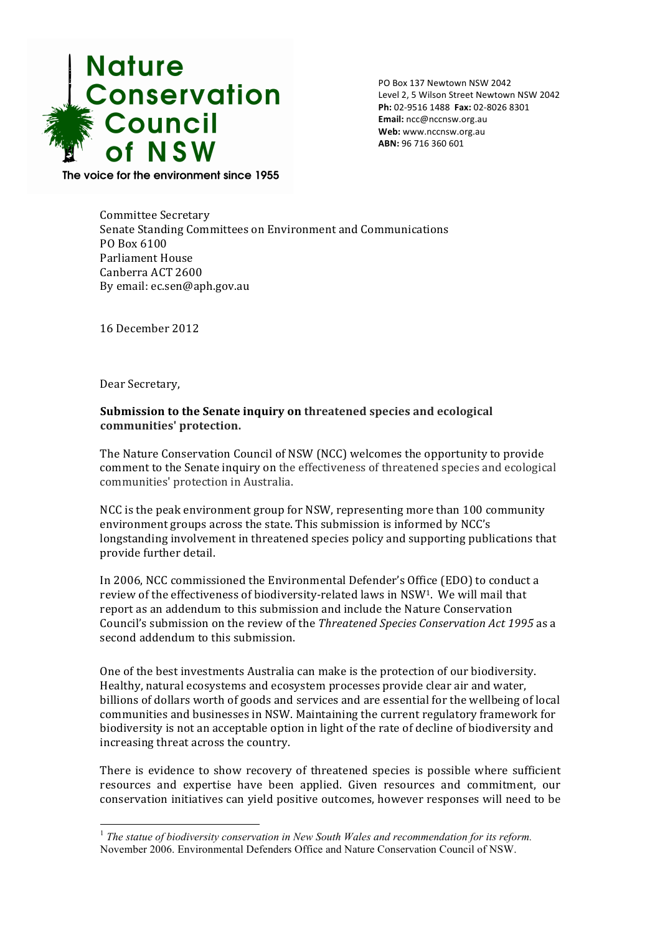

PO Box 137 Newtown NSW 2042 Level 2, 5 Wilson Street Newtown NSW 2042 **Ph:** 02-9516 1488 **Fax:** 02-8026 8301 **Email:** ncc@nccnsw.org.au **Web:** www.nccnsw.org.au ABN: 96 716 360 601

The voice for the environment since 1955

Committee Secretary Senate Standing Committees on Environment and Communications PO Box 6100 Parliament House Canberra ACT 2600 By email: ec.sen@aph.gov.au

16 December 2012

Dear Secretary,

**Submission to the Senate inquiry on threatened species and ecological communities' protection.**

The Nature Conservation Council of NSW (NCC) welcomes the opportunity to provide comment to the Senate inquiry on the effectiveness of threatened species and ecological communities' protection in Australia.

NCC is the peak environment group for NSW, representing more than 100 community environment groups across the state. This submission is informed by NCC's longstanding involvement in threatened species policy and supporting publications that provide further detail.

In 2006, NCC commissioned the Environmental Defender's Office (EDO) to conduct a review of the effectiveness of biodiversity-related laws in NSW<sup>1</sup>. We will mail that report as an addendum to this submission and include the Nature Conservation Council's submission on the review of the *Threatened Species Conservation Act 1995* as a second addendum to this submission.

One of the best investments Australia can make is the protection of our biodiversity. Healthy, natural ecosystems and ecosystem processes provide clear air and water, billions of dollars worth of goods and services and are essential for the wellbeing of local communities and businesses in NSW. Maintaining the current regulatory framework for biodiversity is not an acceptable option in light of the rate of decline of biodiversity and increasing threat across the country.

There is evidence to show recovery of threatened species is possible where sufficient resources and expertise have been applied. Given resources and commitment, our conservation initiatives can yield positive outcomes, however responses will need to be

<sup>&</sup>lt;sup>1</sup> The statue of biodiversity conservation in New South Wales and recommendation for its reform. November 2006. Environmental Defenders Office and Nature Conservation Council of NSW.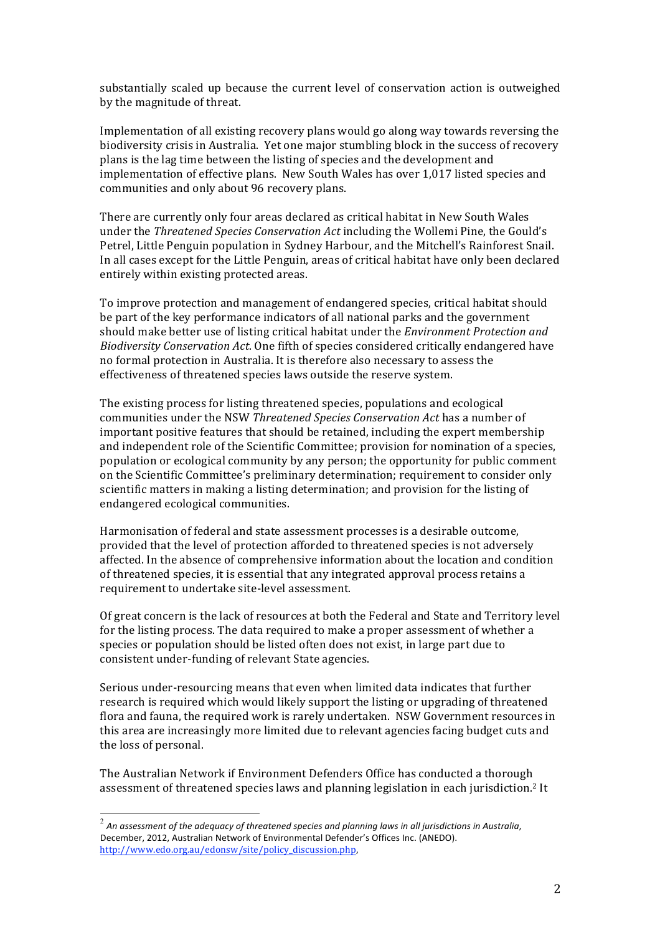substantially scaled up because the current level of conservation action is outweighed by the magnitude of threat.

Implementation of all existing recovery plans would go along way towards reversing the biodiversity crisis in Australia. Yet one major stumbling block in the success of recovery plans is the lag time between the listing of species and the development and implementation of effective plans. New South Wales has over 1,017 listed species and communities and only about 96 recovery plans.

There are currently only four areas declared as critical habitat in New South Wales under the *Threatened Species Conservation Act* including the Wollemi Pine, the Gould's Petrel, Little Penguin population in Sydney Harbour, and the Mitchell's Rainforest Snail. In all cases except for the Little Penguin, areas of critical habitat have only been declared entirely within existing protected areas.

To improve protection and management of endangered species, critical habitat should be part of the key performance indicators of all national parks and the government should make better use of listing critical habitat under the *Environment Protection and Biodiversity Conservation Act.* One fifth of species considered critically endangered have no formal protection in Australia. It is therefore also necessary to assess the effectiveness of threatened species laws outside the reserve system.

The existing process for listing threatened species, populations and ecological communities under the NSW Threatened Species Conservation Act has a number of important positive features that should be retained, including the expert membership and independent role of the Scientific Committee; provision for nomination of a species, population or ecological community by any person; the opportunity for public comment on the Scientific Committee's preliminary determination; requirement to consider only scientific matters in making a listing determination; and provision for the listing of endangered ecological communities.

Harmonisation of federal and state assessment processes is a desirable outcome, provided that the level of protection afforded to threatened species is not adversely affected. In the absence of comprehensive information about the location and condition of threatened species, it is essential that any integrated approval process retains a requirement to undertake site-level assessment.

Of great concern is the lack of resources at both the Federal and State and Territory level for the listing process. The data required to make a proper assessment of whether a species or population should be listed often does not exist, in large part due to consistent under-funding of relevant State agencies.

Serious under-resourcing means that even when limited data indicates that further research is required which would likely support the listing or upgrading of threatened flora and fauna, the required work is rarely undertaken. NSW Government resources in this area are increasingly more limited due to relevant agencies facing budget cuts and the loss of personal.

The Australian Network if Environment Defenders Office has conducted a thorough assessment of threatened species laws and planning legislation in each jurisdiction.<sup>2</sup> It

 $2$  An assessment of the adequacy of threatened species and planning laws in all jurisdictions in Australia, December, 2012, Australian Network of Environmental Defender's Offices Inc. (ANEDO). http://www.edo.org.au/edonsw/site/policy\_discussion.php,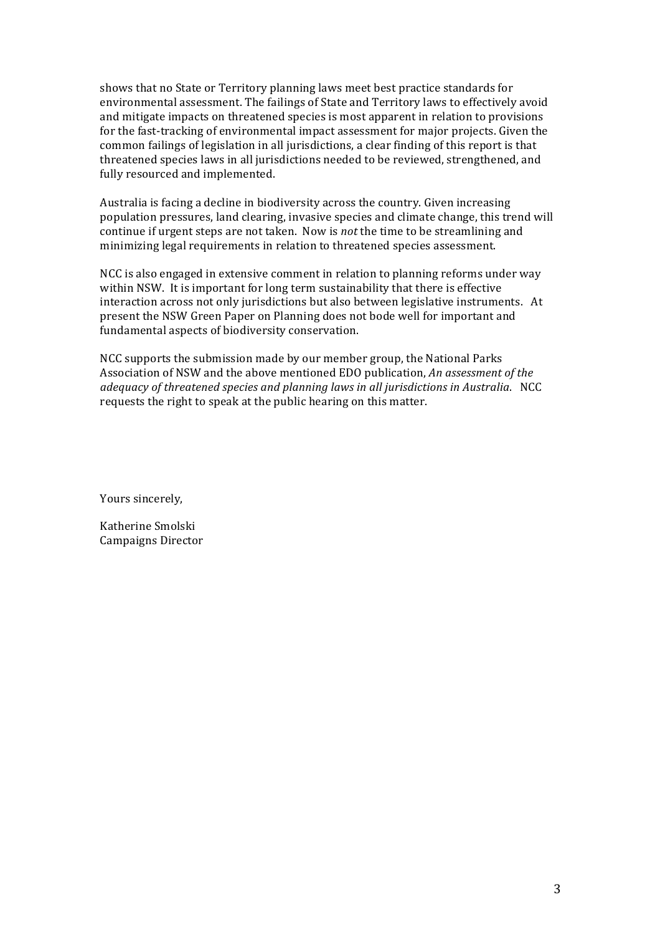shows that no State or Territory planning laws meet best practice standards for environmental assessment. The failings of State and Territory laws to effectively avoid and mitigate impacts on threatened species is most apparent in relation to provisions for the fast-tracking of environmental impact assessment for major projects. Given the common failings of legislation in all jurisdictions, a clear finding of this report is that threatened species laws in all jurisdictions needed to be reviewed, strengthened, and fully resourced and implemented.

Australia is facing a decline in biodiversity across the country. Given increasing population pressures, land clearing, invasive species and climate change, this trend will continue if urgent steps are not taken. Now is *not* the time to be streamlining and minimizing legal requirements in relation to threatened species assessment.

NCC is also engaged in extensive comment in relation to planning reforms under way within NSW. It is important for long term sustainability that there is effective interaction across not only jurisdictions but also between legislative instruments. At present the NSW Green Paper on Planning does not bode well for important and fundamental aspects of biodiversity conservation.

NCC supports the submission made by our member group, the National Parks Association of NSW and the above mentioned EDO publication, An assessment of the *adequacy of threatened species and planning laws in all jurisdictions in Australia.* NCC requests the right to speak at the public hearing on this matter.

Yours sincerely,

Katherine Smolski Campaigns Director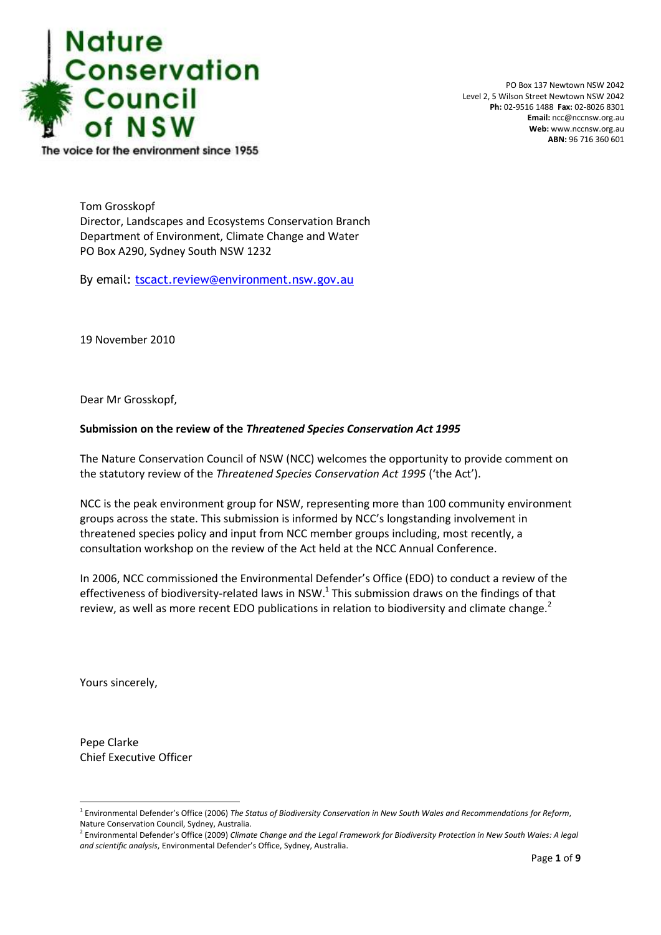

PO Box 137 Newtown NSW 2042 Level 2, 5 Wilson Street Newtown NSW 2042 **Ph:** 02-9516 1488 **Fax:** 02-8026 8301 **Email:** ncc@nccnsw.org.au **Web:** www.nccnsw.org.au **ABN:** 96 716 360 601

The voice for the environment since 1955

Tom Grosskopf Director, Landscapes and Ecosystems Conservation Branch Department of Environment, Climate Change and Water PO Box A290, Sydney South NSW 1232

By email: [tscact.review@environment.nsw.gov.au](mailto:tscact.review@environment.nsw.gov.au)

19 November 2010

Dear Mr Grosskopf,

## **Submission on the review of the** *Threatened Species Conservation Act 1995*

The Nature Conservation Council of NSW (NCC) welcomes the opportunity to provide comment on the statutory review of the *Threatened Species Conservation Act 1995* ('the Act').

NCC is the peak environment group for NSW, representing more than 100 community environment groups across the state. This submission is informed by NCC's longstanding involvement in threatened species policy and input from NCC member groups including, most recently, a consultation workshop on the review of the Act held at the NCC Annual Conference.

In 2006, NCC commissioned the Environmental Defender's Office (EDO) to conduct a review of the effectiveness of biodiversity-related laws in NSW.<sup>1</sup> This submission draws on the findings of that review, as well as more recent EDO publications in relation to biodiversity and climate change.<sup>2</sup>

Yours sincerely,

 $\overline{a}$ 

Pepe Clarke Chief Executive Officer

<sup>1</sup> Environmental Defender's Office (2006) *The Status of Biodiversity Conservation in New South Wales and Recommendations for Reform*, Nature Conservation Council, Sydney, Australia.

<sup>2</sup> Environmental Defender's Office (2009) *Climate Change and the Legal Framework for Biodiversity Protection in New South Wales: A legal and scientific analysis*, Environmental Defender's Office, Sydney, Australia.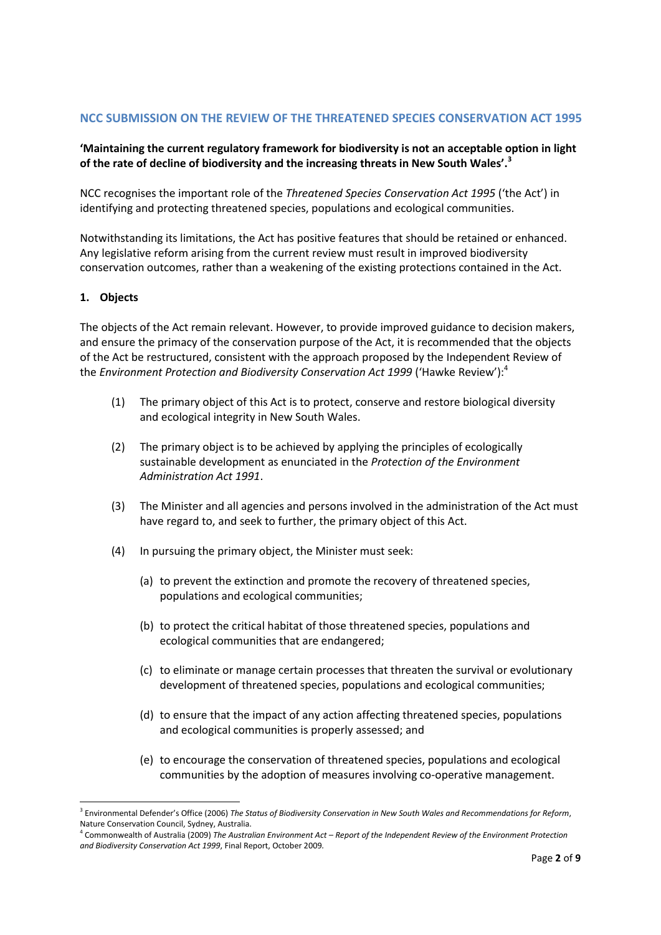# **NCC SUBMISSION ON THE REVIEW OF THE THREATENED SPECIES CONSERVATION ACT 1995**

## **'Maintaining the current regulatory framework for biodiversity is not an acceptable option in light of the rate of decline of biodiversity and the increasing threats in New South Wales'.<sup>3</sup>**

NCC recognises the important role of the *Threatened Species Conservation Act 1995* ('the Act') in identifying and protecting threatened species, populations and ecological communities.

Notwithstanding its limitations, the Act has positive features that should be retained or enhanced. Any legislative reform arising from the current review must result in improved biodiversity conservation outcomes, rather than a weakening of the existing protections contained in the Act.

## **1. Objects**

 $\overline{a}$ 

The objects of the Act remain relevant. However, to provide improved guidance to decision makers, and ensure the primacy of the conservation purpose of the Act, it is recommended that the objects of the Act be restructured, consistent with the approach proposed by the Independent Review of the *Environment Protection and Biodiversity Conservation Act 1999* ('Hawke Review'):<sup>4</sup>

- (1) The primary object of this Act is to protect, conserve and restore biological diversity and ecological integrity in New South Wales.
- (2) The primary object is to be achieved by applying the principles of ecologically sustainable development as enunciated in the *Protection of the Environment Administration Act 1991*.
- (3) The Minister and all agencies and persons involved in the administration of the Act must have regard to, and seek to further, the primary object of this Act.
- (4) In pursuing the primary object, the Minister must seek:
	- (a) to prevent the extinction and promote the recovery of threatened species, populations and ecological communities;
	- (b) to protect the critical habitat of those threatened species, populations and ecological communities that are endangered;
	- (c) to eliminate or manage certain processes that threaten the survival or evolutionary development of threatened species, populations and ecological communities;
	- (d) to ensure that the impact of any action affecting threatened species, populations and ecological communities is properly assessed; and
	- (e) to encourage the conservation of threatened species, populations and ecological communities by the adoption of measures involving co-operative management.

<sup>3</sup> Environmental Defender's Office (2006) *The Status of Biodiversity Conservation in New South Wales and Recommendations for Reform*, Nature Conservation Council, Sydney, Australia.

<sup>4</sup> Commonwealth of Australia (2009) *The Australian Environment Act – Report of the Independent Review of the Environment Protection and Biodiversity Conservation Act 1999*, Final Report, October 2009*.*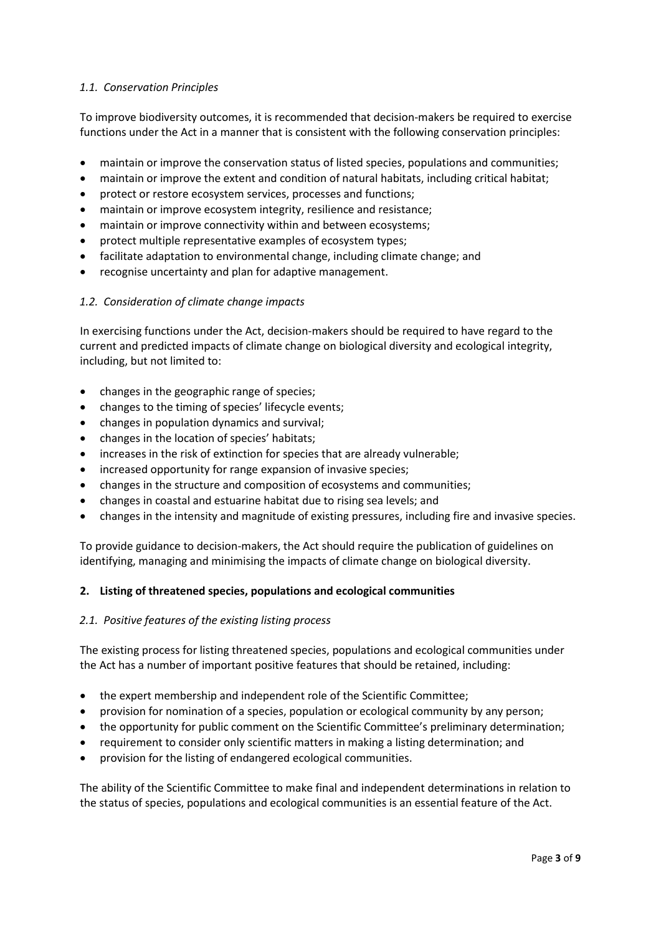## *1.1. Conservation Principles*

To improve biodiversity outcomes, it is recommended that decision-makers be required to exercise functions under the Act in a manner that is consistent with the following conservation principles:

- maintain or improve the conservation status of listed species, populations and communities;
- maintain or improve the extent and condition of natural habitats, including critical habitat;
- protect or restore ecosystem services, processes and functions;
- maintain or improve ecosystem integrity, resilience and resistance;
- maintain or improve connectivity within and between ecosystems;
- protect multiple representative examples of ecosystem types;
- facilitate adaptation to environmental change, including climate change; and
- recognise uncertainty and plan for adaptive management.

## *1.2. Consideration of climate change impacts*

In exercising functions under the Act, decision-makers should be required to have regard to the current and predicted impacts of climate change on biological diversity and ecological integrity, including, but not limited to:

- changes in the geographic range of species;
- changes to the timing of species' lifecycle events;
- changes in population dynamics and survival;
- changes in the location of species' habitats;
- increases in the risk of extinction for species that are already vulnerable;
- increased opportunity for range expansion of invasive species;
- changes in the structure and composition of ecosystems and communities;
- changes in coastal and estuarine habitat due to rising sea levels; and
- changes in the intensity and magnitude of existing pressures, including fire and invasive species.

To provide guidance to decision-makers, the Act should require the publication of guidelines on identifying, managing and minimising the impacts of climate change on biological diversity.

## **2. Listing of threatened species, populations and ecological communities**

## *2.1. Positive features of the existing listing process*

The existing process for listing threatened species, populations and ecological communities under the Act has a number of important positive features that should be retained, including:

- the expert membership and independent role of the Scientific Committee;
- provision for nomination of a species, population or ecological community by any person;
- the opportunity for public comment on the Scientific Committee's preliminary determination;
- requirement to consider only scientific matters in making a listing determination; and
- provision for the listing of endangered ecological communities.

The ability of the Scientific Committee to make final and independent determinations in relation to the status of species, populations and ecological communities is an essential feature of the Act.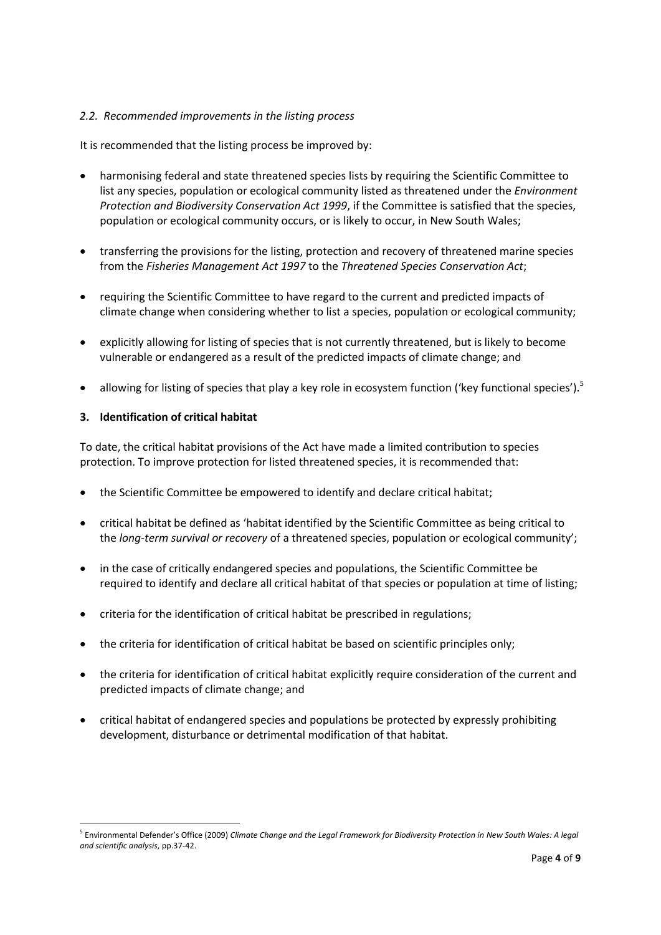## *2.2. Recommended improvements in the listing process*

It is recommended that the listing process be improved by:

- harmonising federal and state threatened species lists by requiring the Scientific Committee to list any species, population or ecological community listed as threatened under the *Environment Protection and Biodiversity Conservation Act 1999*, if the Committee is satisfied that the species, population or ecological community occurs, or is likely to occur, in New South Wales;
- transferring the provisions for the listing, protection and recovery of threatened marine species from the *Fisheries Management Act 1997* to the *Threatened Species Conservation Act*;
- requiring the Scientific Committee to have regard to the current and predicted impacts of climate change when considering whether to list a species, population or ecological community;
- explicitly allowing for listing of species that is not currently threatened, but is likely to become vulnerable or endangered as a result of the predicted impacts of climate change; and
- allowing for listing of species that play a key role in ecosystem function ('key functional species').<sup>5</sup>

## **3. Identification of critical habitat**

 $\overline{a}$ 

To date, the critical habitat provisions of the Act have made a limited contribution to species protection. To improve protection for listed threatened species, it is recommended that:

- the Scientific Committee be empowered to identify and declare critical habitat;
- critical habitat be defined as 'habitat identified by the Scientific Committee as being critical to the *long-term survival or recovery* of a threatened species, population or ecological community';
- in the case of critically endangered species and populations, the Scientific Committee be required to identify and declare all critical habitat of that species or population at time of listing;
- criteria for the identification of critical habitat be prescribed in regulations;
- the criteria for identification of critical habitat be based on scientific principles only;
- the criteria for identification of critical habitat explicitly require consideration of the current and predicted impacts of climate change; and
- critical habitat of endangered species and populations be protected by expressly prohibiting development, disturbance or detrimental modification of that habitat.

<sup>5</sup> Environmental Defender's Office (2009) *Climate Change and the Legal Framework for Biodiversity Protection in New South Wales: A legal and scientific analysis*, pp.37-42.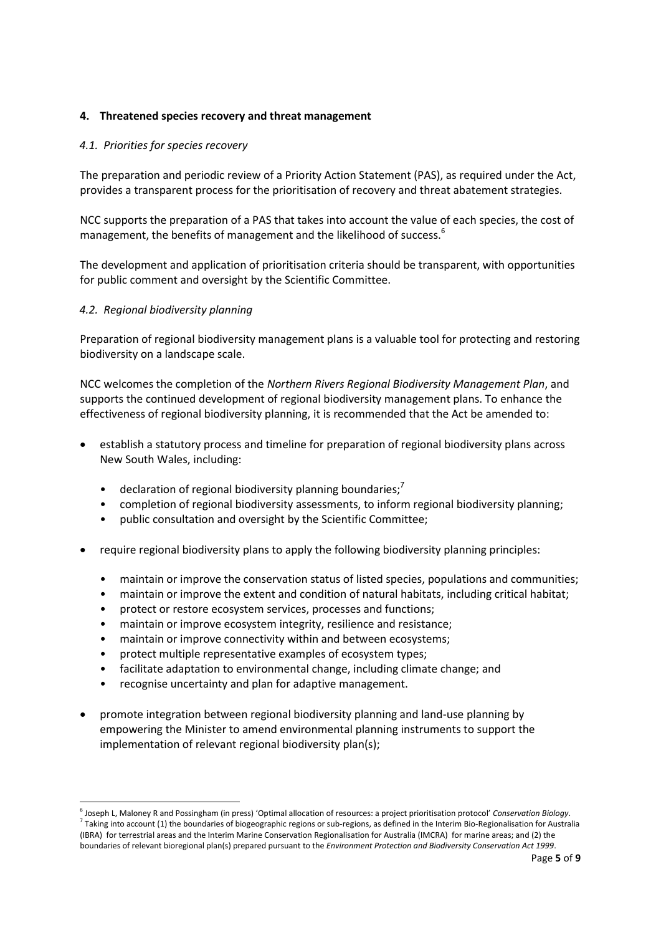## **4. Threatened species recovery and threat management**

## *4.1. Priorities for species recovery*

The preparation and periodic review of a Priority Action Statement (PAS), as required under the Act, provides a transparent process for the prioritisation of recovery and threat abatement strategies.

NCC supports the preparation of a PAS that takes into account the value of each species, the cost of management, the benefits of management and the likelihood of success.<sup>6</sup>

The development and application of prioritisation criteria should be transparent, with opportunities for public comment and oversight by the Scientific Committee.

## *4.2. Regional biodiversity planning*

 $\overline{a}$ 

Preparation of regional biodiversity management plans is a valuable tool for protecting and restoring biodiversity on a landscape scale.

NCC welcomes the completion of the *Northern Rivers Regional Biodiversity Management Plan*, and supports the continued development of regional biodiversity management plans. To enhance the effectiveness of regional biodiversity planning, it is recommended that the Act be amended to:

- establish a statutory process and timeline for preparation of regional biodiversity plans across New South Wales, including:
	- declaration of regional biodiversity planning boundaries; $\prime$
	- completion of regional biodiversity assessments, to inform regional biodiversity planning;
	- public consultation and oversight by the Scientific Committee;
- require regional biodiversity plans to apply the following biodiversity planning principles:
	- maintain or improve the conservation status of listed species, populations and communities;
	- maintain or improve the extent and condition of natural habitats, including critical habitat;
	- protect or restore ecosystem services, processes and functions;
	- maintain or improve ecosystem integrity, resilience and resistance;
	- maintain or improve connectivity within and between ecosystems;
	- protect multiple representative examples of ecosystem types;
	- facilitate adaptation to environmental change, including climate change; and
	- recognise uncertainty and plan for adaptive management.
- promote integration between regional biodiversity planning and land-use planning by empowering the Minister to amend environmental planning instruments to support the implementation of relevant regional biodiversity plan(s);

<sup>6</sup> Joseph L, Maloney R and Possingham (in press) 'Optimal allocation of resources: a project prioritisation protocol' *Conservation Biology*.  $^7$  Taking into account (1) the boundaries of biogeographic regions or sub-regions, as defined in the Interim Bio-Regionalisation for Australia (IBRA) for terrestrial areas and the Interim Marine Conservation Regionalisation for Australia (IMCRA) for marine areas; and (2) the boundaries of relevant bioregional plan(s) prepared pursuant to the *Environment Protection and Biodiversity Conservation Act 1999*.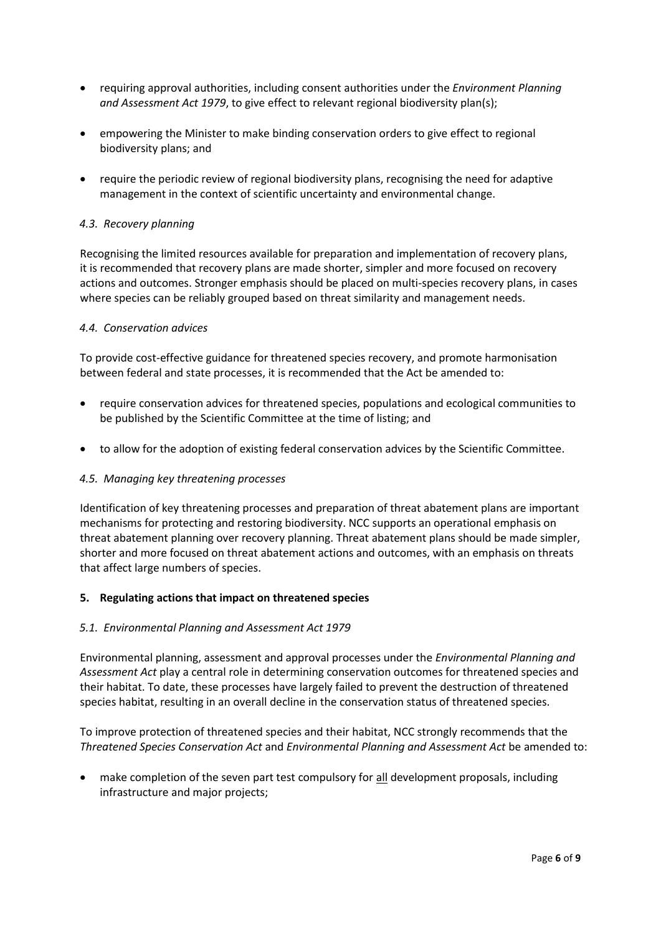- requiring approval authorities, including consent authorities under the *Environment Planning and Assessment Act 1979*, to give effect to relevant regional biodiversity plan(s);
- empowering the Minister to make binding conservation orders to give effect to regional biodiversity plans; and
- require the periodic review of regional biodiversity plans, recognising the need for adaptive management in the context of scientific uncertainty and environmental change.

## *4.3. Recovery planning*

Recognising the limited resources available for preparation and implementation of recovery plans, it is recommended that recovery plans are made shorter, simpler and more focused on recovery actions and outcomes. Stronger emphasis should be placed on multi-species recovery plans, in cases where species can be reliably grouped based on threat similarity and management needs.

#### *4.4. Conservation advices*

To provide cost-effective guidance for threatened species recovery, and promote harmonisation between federal and state processes, it is recommended that the Act be amended to:

- require conservation advices for threatened species, populations and ecological communities to be published by the Scientific Committee at the time of listing; and
- to allow for the adoption of existing federal conservation advices by the Scientific Committee.

#### *4.5. Managing key threatening processes*

Identification of key threatening processes and preparation of threat abatement plans are important mechanisms for protecting and restoring biodiversity. NCC supports an operational emphasis on threat abatement planning over recovery planning. Threat abatement plans should be made simpler, shorter and more focused on threat abatement actions and outcomes, with an emphasis on threats that affect large numbers of species.

#### **5. Regulating actions that impact on threatened species**

#### *5.1. Environmental Planning and Assessment Act 1979*

Environmental planning, assessment and approval processes under the *Environmental Planning and Assessment Act* play a central role in determining conservation outcomes for threatened species and their habitat. To date, these processes have largely failed to prevent the destruction of threatened species habitat, resulting in an overall decline in the conservation status of threatened species.

To improve protection of threatened species and their habitat, NCC strongly recommends that the *Threatened Species Conservation Act* and *Environmental Planning and Assessment Act* be amended to:

make completion of the seven part test compulsory for all development proposals, including infrastructure and major projects;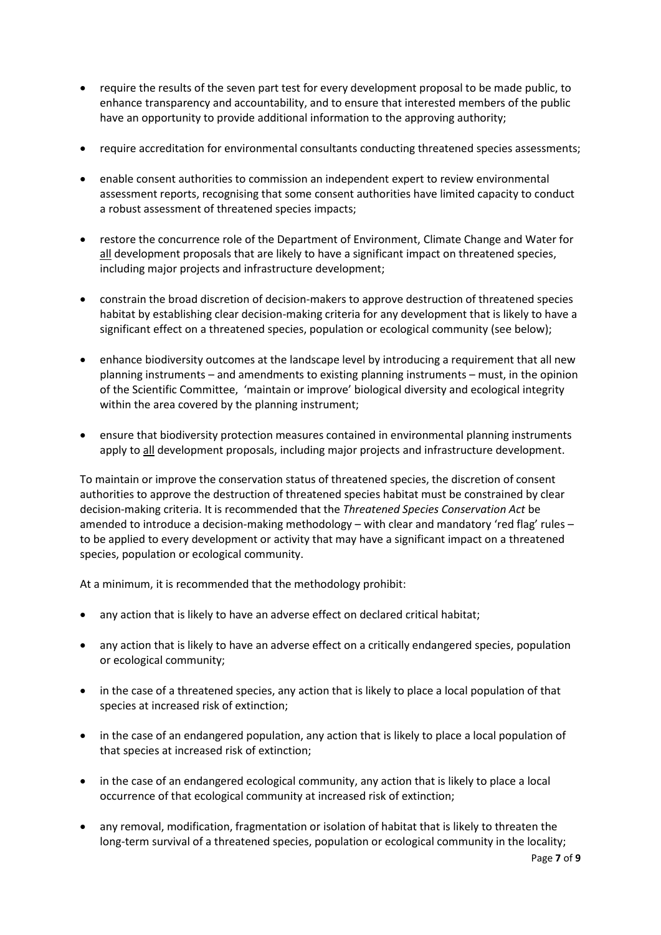- require the results of the seven part test for every development proposal to be made public, to enhance transparency and accountability, and to ensure that interested members of the public have an opportunity to provide additional information to the approving authority;
- require accreditation for environmental consultants conducting threatened species assessments;
- enable consent authorities to commission an independent expert to review environmental assessment reports, recognising that some consent authorities have limited capacity to conduct a robust assessment of threatened species impacts;
- restore the concurrence role of the Department of Environment, Climate Change and Water for all development proposals that are likely to have a significant impact on threatened species, including major projects and infrastructure development;
- constrain the broad discretion of decision-makers to approve destruction of threatened species habitat by establishing clear decision-making criteria for any development that is likely to have a significant effect on a threatened species, population or ecological community (see below);
- enhance biodiversity outcomes at the landscape level by introducing a requirement that all new planning instruments – and amendments to existing planning instruments – must, in the opinion of the Scientific Committee, 'maintain or improve' biological diversity and ecological integrity within the area covered by the planning instrument;
- ensure that biodiversity protection measures contained in environmental planning instruments apply to all development proposals, including major projects and infrastructure development.

To maintain or improve the conservation status of threatened species, the discretion of consent authorities to approve the destruction of threatened species habitat must be constrained by clear decision-making criteria. It is recommended that the *Threatened Species Conservation Act* be amended to introduce a decision-making methodology – with clear and mandatory 'red flag' rules – to be applied to every development or activity that may have a significant impact on a threatened species, population or ecological community.

At a minimum, it is recommended that the methodology prohibit:

- any action that is likely to have an adverse effect on declared critical habitat;
- any action that is likely to have an adverse effect on a critically endangered species, population or ecological community;
- in the case of a threatened species, any action that is likely to place a local population of that species at increased risk of extinction;
- in the case of an endangered population, any action that is likely to place a local population of that species at increased risk of extinction;
- in the case of an endangered ecological community, any action that is likely to place a local occurrence of that ecological community at increased risk of extinction;
- any removal, modification, fragmentation or isolation of habitat that is likely to threaten the long-term survival of a threatened species, population or ecological community in the locality;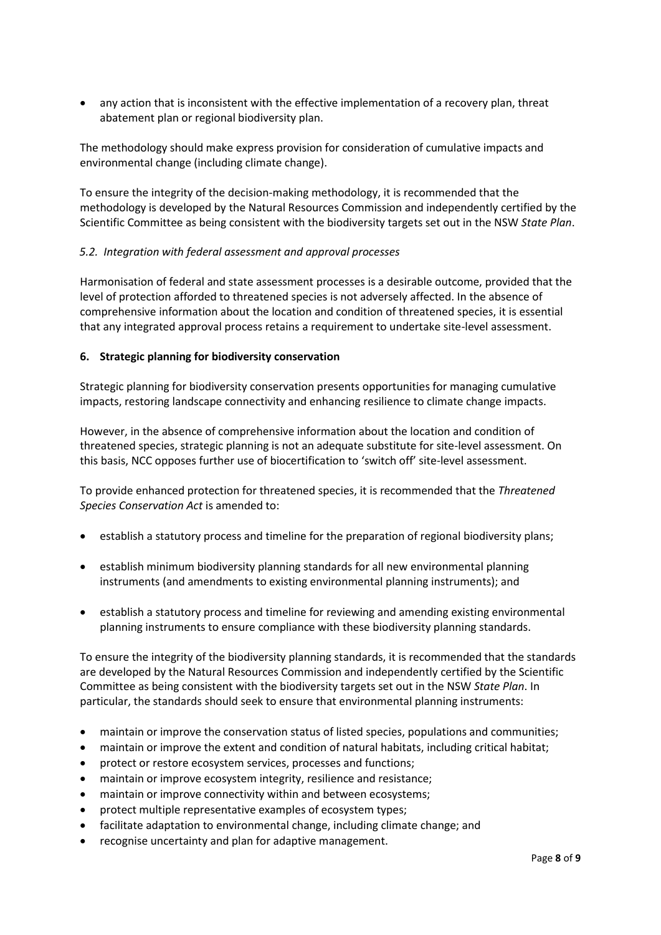any action that is inconsistent with the effective implementation of a recovery plan, threat abatement plan or regional biodiversity plan.

The methodology should make express provision for consideration of cumulative impacts and environmental change (including climate change).

To ensure the integrity of the decision-making methodology, it is recommended that the methodology is developed by the Natural Resources Commission and independently certified by the Scientific Committee as being consistent with the biodiversity targets set out in the NSW *State Plan*.

## *5.2. Integration with federal assessment and approval processes*

Harmonisation of federal and state assessment processes is a desirable outcome, provided that the level of protection afforded to threatened species is not adversely affected. In the absence of comprehensive information about the location and condition of threatened species, it is essential that any integrated approval process retains a requirement to undertake site-level assessment.

#### **6. Strategic planning for biodiversity conservation**

Strategic planning for biodiversity conservation presents opportunities for managing cumulative impacts, restoring landscape connectivity and enhancing resilience to climate change impacts.

However, in the absence of comprehensive information about the location and condition of threatened species, strategic planning is not an adequate substitute for site-level assessment. On this basis, NCC opposes further use of biocertification to 'switch off' site-level assessment.

To provide enhanced protection for threatened species, it is recommended that the *Threatened Species Conservation Act* is amended to:

- establish a statutory process and timeline for the preparation of regional biodiversity plans;
- establish minimum biodiversity planning standards for all new environmental planning instruments (and amendments to existing environmental planning instruments); and
- establish a statutory process and timeline for reviewing and amending existing environmental planning instruments to ensure compliance with these biodiversity planning standards.

To ensure the integrity of the biodiversity planning standards, it is recommended that the standards are developed by the Natural Resources Commission and independently certified by the Scientific Committee as being consistent with the biodiversity targets set out in the NSW *State Plan*. In particular, the standards should seek to ensure that environmental planning instruments:

- maintain or improve the conservation status of listed species, populations and communities;
- maintain or improve the extent and condition of natural habitats, including critical habitat;
- protect or restore ecosystem services, processes and functions;
- maintain or improve ecosystem integrity, resilience and resistance;
- maintain or improve connectivity within and between ecosystems;
- protect multiple representative examples of ecosystem types;
- facilitate adaptation to environmental change, including climate change; and
- recognise uncertainty and plan for adaptive management.